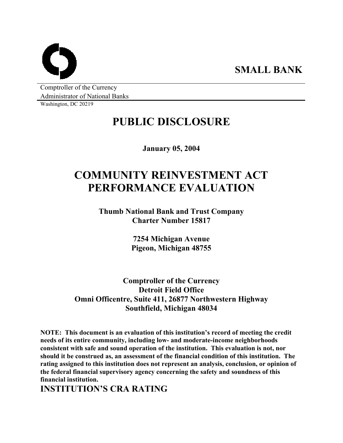**SMALL BANK** 

Comptroller of the Currency Administrator of National Banks

Washington, DC 20219

## **PUBLIC DISCLOSURE**

**January 05, 2004** 

# **COMMUNITY REINVESTMENT ACT PERFORMANCE EVALUATION**

**Thumb National Bank and Trust Company Charter Number 15817** 

> **7254 Michigan Avenue Pigeon, Michigan 48755**

**Comptroller of the Currency Detroit Field Office Omni Officentre, Suite 411, 26877 Northwestern Highway Southfield, Michigan 48034** 

**NOTE: This document is an evaluation of this institution's record of meeting the credit needs of its entire community, including low- and moderate-income neighborhoods consistent with safe and sound operation of the institution. This evaluation is not, nor should it be construed as, an assessment of the financial condition of this institution. The rating assigned to this institution does not represent an analysis, conclusion, or opinion of the federal financial supervisory agency concerning the safety and soundness of this financial institution.** 

**INSTITUTION'S CRA RATING**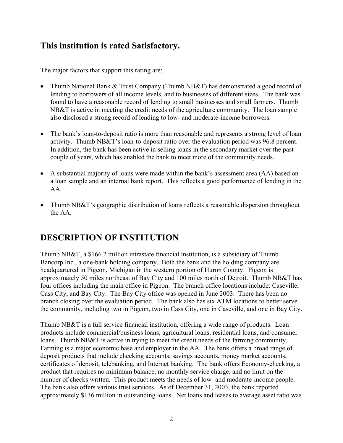### **This institution is rated Satisfactory.**

The major factors that support this rating are:

- Thumb National Bank & Trust Company (Thumb NB&T) has demonstrated a good record of lending to borrowers of all income levels, and to businesses of different sizes. The bank was found to have a reasonable record of lending to small businesses and small farmers. Thumb NB&T is active in meeting the credit needs of the agriculture community. The loan sample also disclosed a strong record of lending to low- and moderate-income borrowers.
- The bank's loan-to-deposit ratio is more than reasonable and represents a strong level of loan activity. Thumb NB&T's loan-to-deposit ratio over the evaluation period was 96.8 percent. In addition, the bank has been active in selling loans in the secondary market over the past couple of years, which has enabled the bank to meet more of the community needs.
- A substantial majority of loans were made within the bank's assessment area (AA) based on a loan sample and an internal bank report. This reflects a good performance of lending in the AA.
- Thumb NB&T's geographic distribution of loans reflects a reasonable dispersion throughout the AA.

## **DESCRIPTION OF INSTITUTION**

Thumb NB&T, a \$166.2 million intrastate financial institution, is a subsidiary of Thumb Bancorp Inc., a one-bank holding company. Both the bank and the holding company are headquartered in Pigeon, Michigan in the western portion of Huron County. Pigeon is approximately 50 miles northeast of Bay City and 100 miles north of Detroit. Thumb NB&T has four offices including the main office in Pigeon. The branch office locations include: Caseville, Cass City, and Bay City. The Bay City office was opened in June 2003. There has been no branch closing over the evaluation period. The bank also has six ATM locations to better serve the community, including two in Pigeon, two in Cass City, one in Caseville, and one in Bay City.

Thumb NB&T is a full service financial institution, offering a wide range of products. Loan products include commercial/business loans, agricultural loans, residential loans, and consumer loans. Thumb NB&T is active in trying to meet the credit needs of the farming community. Farming is a major economic base and employer in the AA. The bank offers a broad range of deposit products that include checking accounts, savings accounts, money market accounts, certificates of deposit, telebanking, and Internet banking. The bank offers Economy-checking, a product that requires no minimum balance, no monthly service charge, and no limit on the number of checks written. This product meets the needs of low- and moderate-income people. The bank also offers various trust services. As of December 31, 2003, the bank reported approximately \$136 million in outstanding loans. Net loans and leases to average asset ratio was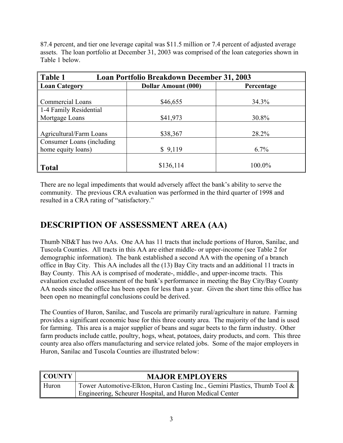87.4 percent, and tier one leverage capital was \$11.5 million or 7.4 percent of adjusted average assets. The loan portfolio at December 31, 2003 was comprised of the loan categories shown in Table 1 below.

| Table 1<br><b>Loan Portfolio Breakdown December 31, 2003</b> |                            |            |  |  |  |
|--------------------------------------------------------------|----------------------------|------------|--|--|--|
| <b>Loan Category</b>                                         | <b>Dollar Amount (000)</b> | Percentage |  |  |  |
|                                                              |                            |            |  |  |  |
| <b>Commercial Loans</b>                                      | \$46,655                   | 34.3%      |  |  |  |
| 1-4 Family Residential                                       |                            |            |  |  |  |
| Mortgage Loans                                               | \$41,973                   | 30.8%      |  |  |  |
|                                                              |                            |            |  |  |  |
| Agricultural/Farm Loans                                      | \$38,367                   | 28.2%      |  |  |  |
| Consumer Loans (including                                    |                            |            |  |  |  |
| home equity loans)                                           | \$9,119                    | 6.7%       |  |  |  |
|                                                              |                            |            |  |  |  |
| <b>Total</b>                                                 | \$136,114                  | 100.0%     |  |  |  |

There are no legal impediments that would adversely affect the bank's ability to serve the community. The previous CRA evaluation was performed in the third quarter of 1998 and resulted in a CRA rating of "satisfactory."

## **DESCRIPTION OF ASSESSMENT AREA (AA)**

Thumb NB&T has two AAs. One AA has 11 tracts that include portions of Huron, Sanilac, and Tuscola Counties. All tracts in this AA are either middle- or upper-income (see Table 2 for demographic information). The bank established a second AA with the opening of a branch office in Bay City. This AA includes all the (13) Bay City tracts and an additional 11 tracts in Bay County. This AA is comprised of moderate-, middle-, and upper-income tracts. This evaluation excluded assessment of the bank's performance in meeting the Bay City/Bay County AA needs since the office has been open for less than a year. Given the short time this office has been open no meaningful conclusions could be derived.

The Counties of Huron, Sanilac, and Tuscola are primarily rural/agriculture in nature. Farming provides a significant economic base for this three county area. The majority of the land is used for farming. This area is a major supplier of beans and sugar beets to the farm industry. Other farm products include cattle, poultry, hogs, wheat, potatoes, dairy products, and corn. This three county area also offers manufacturing and service related jobs. Some of the major employers in Huron, Sanilac and Tuscola Counties are illustrated below:

| <b>COUNTY</b> | <b>MAJOR EMPLOYERS</b>                                                     |
|---------------|----------------------------------------------------------------------------|
| Huron         | Tower Automotive-Elkton, Huron Casting Inc., Gemini Plastics, Thumb Tool & |
|               | Engineering, Scheurer Hospital, and Huron Medical Center                   |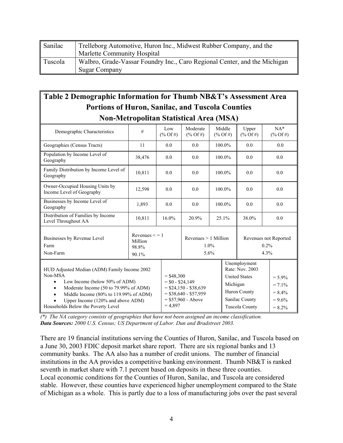| Sanilac | Trelleborg Automotive, Huron Inc., Midwest Rubber Company, and the        |
|---------|---------------------------------------------------------------------------|
|         | Marlette Community Hospital                                               |
| Tuscola | Walbro, Grade-Vassar Foundry Inc., Caro Regional Center, and the Michigan |
|         | <b>Sugar Company</b>                                                      |

### **Table 2 Demographic Information for Thumb NB&T's Assessment Area Portions of Huron, Sanilac, and Tuscola Counties Non-Metropolitan Statistical Area (MSA)**

| Demographic Characteristics                                                                                                                                                                                                                                                                  | $\#$                                             | Low<br>$(\%$ Of #)                            | Moderate<br>$(\%$ Of #)                                                   | Middle<br>$(\%$ Of #) |                                       | Upper<br>$(\%$ Of #)                                                                                               |        | $NA*$<br>$(\%$ Of #)                                          |  |     |
|----------------------------------------------------------------------------------------------------------------------------------------------------------------------------------------------------------------------------------------------------------------------------------------------|--------------------------------------------------|-----------------------------------------------|---------------------------------------------------------------------------|-----------------------|---------------------------------------|--------------------------------------------------------------------------------------------------------------------|--------|---------------------------------------------------------------|--|-----|
| Geographies (Census Tracts)                                                                                                                                                                                                                                                                  | 11                                               | 0.0                                           | 0.0                                                                       | 100.0%                |                                       | 0.0                                                                                                                |        | 0.0                                                           |  |     |
| Population by Income Level of<br>Geography                                                                                                                                                                                                                                                   | 38,476                                           | 0.0                                           | 0.0                                                                       |                       | 0.0                                   |                                                                                                                    | 100.0% |                                                               |  | 0.0 |
| Family Distribution by Income Level of<br>Geography                                                                                                                                                                                                                                          | 10,811                                           | 0.0                                           | 0.0                                                                       | 100.0%                |                                       | 0.0                                                                                                                |        | 0.0                                                           |  |     |
| Owner-Occupied Housing Units by<br>Income Level of Geography                                                                                                                                                                                                                                 | 12,598                                           | 0.0                                           | 0.0                                                                       | 100.0%                |                                       | 0.0                                                                                                                |        | 0.0                                                           |  |     |
| Businesses by Income Level of<br>Geography                                                                                                                                                                                                                                                   | 1,893                                            | 0.0                                           | 0.0                                                                       | 100.0%                |                                       | 0.0                                                                                                                |        | 0.0                                                           |  |     |
| Distribution of Families by Income<br>Level Throughout AA                                                                                                                                                                                                                                    | 10,811                                           | 16.0%                                         | 20.9%                                                                     | 25.1%                 |                                       | 38.0%                                                                                                              |        | 0.0                                                           |  |     |
| Businesses by Revenue Level<br>Farm<br>Non-Farm                                                                                                                                                                                                                                              | Revenues $\leq$ = 1<br>Million<br>98.8%<br>90.1% |                                               | Revenues $> 1$ Million<br>1.0%<br>5.6%                                    |                       | Revenues not Reported<br>0.2%<br>4.3% |                                                                                                                    |        |                                                               |  |     |
| HUD Adjusted Median (ADM) Family Income 2002<br>Non-MSA<br>Low Income (below 50% of ADM)<br>$\bullet$<br>Moderate Income (50 to 79.99% of ADM)<br>$\bullet$<br>Middle Income (80% to 119.99% of ADM)<br>$\bullet$<br>Upper Income (120% and above ADM)<br>Households Below the Poverty Level |                                                  | $=$ \$48,300<br>$= $0 - $24,149$<br>$= 4,897$ | $=$ \$24,150 - \$38,639<br>$=$ \$38,640 - \$57,959<br>$= $57,960 - Above$ |                       | Michigan                              | Unemployment<br>Rate: Nov. 2003<br><b>United States</b><br>Huron County<br>Sanilac County<br><b>Tuscola County</b> |        | $= 5.9\%$<br>$= 7.1\%$<br>$= 8.4\%$<br>$= 9.6\%$<br>$= 8.2\%$ |  |     |

*(\*) The NA category consists of geographies that have not been assigned an income classification. Data Sources: 2000 U.S. Census; US Department of Labor. Dun and Bradstreet 2003.* 

There are 19 financial institutions serving the Counties of Huron, Sanilac, and Tuscola based on a June 30, 2003 FDIC deposit market share report. There are six regional banks and 13 community banks. The AA also has a number of credit unions. The number of financial institutions in the AA provides a competitive banking environment. Thumb NB&T is ranked seventh in market share with 7.1 percent based on deposits in these three counties. Local economic conditions for the Counties of Huron, Sanilac, and Tuscola are considered stable. However, these counties have experienced higher unemployment compared to the State of Michigan as a whole. This is partly due to a loss of manufacturing jobs over the past several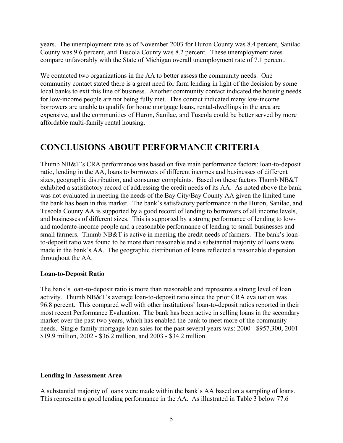years. The unemployment rate as of November 2003 for Huron County was 8.4 percent, Sanilac County was 9.6 percent, and Tuscola County was 8.2 percent. These unemployment rates compare unfavorably with the State of Michigan overall unemployment rate of 7.1 percent.

We contacted two organizations in the AA to better assess the community needs. One community contact stated there is a great need for farm lending in light of the decision by some local banks to exit this line of business. Another community contact indicated the housing needs for low-income people are not being fully met. This contact indicated many low-income borrowers are unable to qualify for home mortgage loans, rental-dwellings in the area are expensive, and the communities of Huron, Sanilac, and Tuscola could be better served by more affordable multi-family rental housing.

### **CONCLUSIONS ABOUT PERFORMANCE CRITERIA**

Thumb NB&T's CRA performance was based on five main performance factors: loan-to-deposit ratio, lending in the AA, loans to borrowers of different incomes and businesses of different sizes, geographic distribution, and consumer complaints. Based on these factors Thumb NB&T exhibited a satisfactory record of addressing the credit needs of its AA. As noted above the bank was not evaluated in meeting the needs of the Bay City/Bay County AA given the limited time the bank has been in this market. The bank's satisfactory performance in the Huron, Sanilac, and Tuscola County AA is supported by a good record of lending to borrowers of all income levels, and businesses of different sizes. This is supported by a strong performance of lending to lowand moderate-income people and a reasonable performance of lending to small businesses and small farmers. Thumb NB&T is active in meeting the credit needs of farmers. The bank's loanto-deposit ratio was found to be more than reasonable and a substantial majority of loans were made in the bank's AA. The geographic distribution of loans reflected a reasonable dispersion throughout the AA.

#### **Loan-to-Deposit Ratio**

The bank's loan-to-deposit ratio is more than reasonable and represents a strong level of loan activity. Thumb NB&T's average loan-to-deposit ratio since the prior CRA evaluation was 96.8 percent. This compared well with other institutions' loan-to-deposit ratios reported in their most recent Performance Evaluation. The bank has been active in selling loans in the secondary market over the past two years, which has enabled the bank to meet more of the community needs. Single-family mortgage loan sales for the past several years was: 2000 - \$957,300, 2001 - \$19.9 million, 2002 - \$36.2 million, and 2003 - \$34.2 million.

#### **Lending in Assessment Area**

A substantial majority of loans were made within the bank's AA based on a sampling of loans. This represents a good lending performance in the AA. As illustrated in Table 3 below 77.6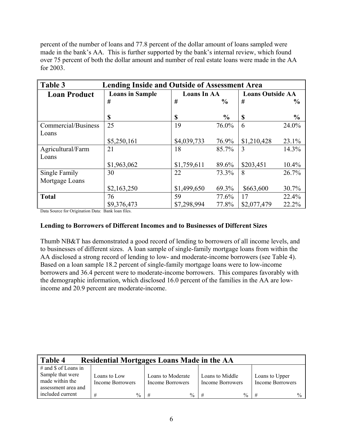percent of the number of loans and 77.8 percent of the dollar amount of loans sampled were made in the bank's AA. This is further supported by the bank's internal review, which found over 75 percent of both the dollar amount and number of real estate loans were made in the AA for 2003.

| Table 3<br><b>Lending Inside and Outside of Assessment Area</b> |                        |                    |               |                         |               |  |
|-----------------------------------------------------------------|------------------------|--------------------|---------------|-------------------------|---------------|--|
| <b>Loan Product</b>                                             | <b>Loans in Sample</b> | <b>Loans In AA</b> |               | <b>Loans Outside AA</b> |               |  |
|                                                                 | #                      | #                  | $\frac{6}{9}$ | #                       | $\frac{0}{0}$ |  |
|                                                                 |                        |                    |               |                         |               |  |
|                                                                 | \$                     | \$                 | $\frac{0}{0}$ | \$                      | $\frac{0}{0}$ |  |
| Commercial/Business                                             | 25                     | 19                 | 76.0%         | 6                       | 24.0%         |  |
| Loans                                                           |                        |                    |               |                         |               |  |
|                                                                 | \$5,250,161            | \$4,039,733        | 76.9%         | \$1,210,428             | 23.1%         |  |
| Agricultural/Farm                                               | 21                     | 18                 | 85.7%         | 3                       | 14.3%         |  |
| Loans                                                           |                        |                    |               |                         |               |  |
|                                                                 | \$1,963,062            | \$1,759,611        | 89.6%         | \$203,451               | 10.4%         |  |
| Single Family                                                   | 30                     | 22                 | 73.3%         | 8                       | 26.7%         |  |
| Mortgage Loans                                                  |                        |                    |               |                         |               |  |
|                                                                 | \$2,163,250            | \$1,499,650        | 69.3%         | \$663,600               | 30.7%         |  |
| <b>Total</b>                                                    | 76                     | 59                 | 77.6%         | 17                      | 22.4%         |  |
|                                                                 | \$9,376,473            | \$7,298,994        | 77.8%         | \$2,077,479             | 22.2%         |  |

Data Source for Origination Data: Bank loan files.

#### **Lending to Borrowers of Different Incomes and to Businesses of Different Sizes**

Thumb NB&T has demonstrated a good record of lending to borrowers of all income levels, and to businesses of different sizes. A loan sample of single-family mortgage loans from within the AA disclosed a strong record of lending to low- and moderate-income borrowers (see Table 4). Based on a loan sample 18.2 percent of single-family mortgage loans were to low-income borrowers and 36.4 percent were to moderate-income borrowers. This compares favorably with the demographic information, which disclosed 16.0 percent of the families in the AA are lowincome and 20.9 percent are moderate-income.

| Table 4                                                                              | <b>Residential Mortgages Loans Made in the AA</b> |                                       |                                     |                                           |
|--------------------------------------------------------------------------------------|---------------------------------------------------|---------------------------------------|-------------------------------------|-------------------------------------------|
| $#$ and \$ of Loans in<br>Sample that were<br>made within the<br>assessment area and | Loans to Low<br><b>Income Borrowers</b>           | Loans to Moderate<br>Income Borrowers | Loans to Middle<br>Income Borrowers | Loans to Upper<br><b>Income Borrowers</b> |
| included current                                                                     | $\%$<br>$_{\rm +}$                                | $\frac{0}{0}$                         | $\%$                                | $\frac{0}{0}$                             |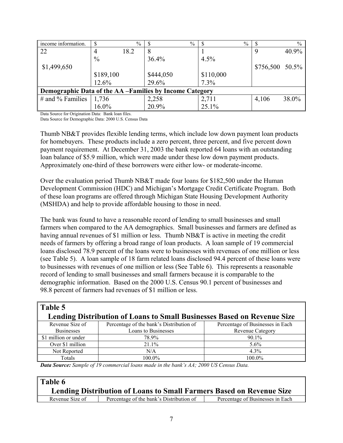| income information.                                     | S             | $\%$ | $\frac{0}{0}$ | $\%$      |                  | $\frac{0}{0}$ |
|---------------------------------------------------------|---------------|------|---------------|-----------|------------------|---------------|
| 22                                                      |               | 18.2 | ∧             |           |                  | 40.9%         |
|                                                         | $\frac{0}{0}$ |      | 36.4%         | $4.5\%$   |                  |               |
| \$1,499,650                                             |               |      |               |           | $$756,500$ 50.5% |               |
|                                                         | \$189,100     |      | \$444,050     | \$110,000 |                  |               |
|                                                         | 12.6%         |      | 29.6%         | 7.3%      |                  |               |
| Demographic Data of the AA -Families by Income Category |               |      |               |           |                  |               |
| # and % Families $\parallel$                            | 1,736         |      | 2,258         | 2,711     | 4,106            | 38.0%         |
|                                                         | $16.0\%$      |      | 20.9%         | 25.1%     |                  |               |

Data Source for Origination Data: Bank loan files.

Data Source for Demographic Data: 2000 U.S. Census Data

Thumb NB&T provides flexible lending terms, which include low down payment loan products for homebuyers. These products include a zero percent, three percent, and five percent down payment requirement. At December 31, 2003 the bank reported 64 loans with an outstanding loan balance of \$5.9 million, which were made under these low down payment products. Approximately one-third of these borrowers were either low- or moderate-income.

Over the evaluation period Thumb NB&T made four loans for \$182,500 under the Human Development Commission (HDC) and Michigan's Mortgage Credit Certificate Program. Both of these loan programs are offered through Michigan State Housing Development Authority (MSHDA) and help to provide affordable housing to those in need.

The bank was found to have a reasonable record of lending to small businesses and small farmers when compared to the AA demographics. Small businesses and farmers are defined as having annual revenues of \$1 million or less. Thumb NB&T is active in meeting the credit needs of farmers by offering a broad range of loan products. A loan sample of 19 commercial loans disclosed 78.9 percent of the loans were to businesses with revenues of one million or less (see Table 5). A loan sample of 18 farm related loans disclosed 94.4 percent of these loans were to businesses with revenues of one million or less (See Table 6). This represents a reasonable record of lending to small businesses and small farmers because it is comparable to the demographic information. Based on the 2000 U.S. Census 90.1 percent of businesses and 98.8 percent of farmers had revenues of \$1 million or less.

| Table 5              |                                                                         |                                  |
|----------------------|-------------------------------------------------------------------------|----------------------------------|
|                      | Lending Distribution of Loans to Small Businesses Based on Revenue Size |                                  |
| Revenue Size of      | Percentage of the bank's Distribution of                                | Percentage of Businesses in Each |
| <b>Businesses</b>    | Loans to Businesses                                                     | <b>Revenue Category</b>          |
| \$1 million or under | 78.9%                                                                   | $90.1\%$                         |
| Over \$1 million     | 21.1%                                                                   | $5.6\%$                          |
| Not Reported         | N/A                                                                     | $4.3\%$                          |
| Totals               | 100.0%                                                                  | 100.0%                           |

*Data Source: Sample of 19 commercial loans made in the bank's AA; 2000 US Census Data.*

| Table 6         |                                                                             |                                  |
|-----------------|-----------------------------------------------------------------------------|----------------------------------|
|                 | <b>Lending Distribution of Loans to Small Farmers Based on Revenue Size</b> |                                  |
| Revenue Size of | Percentage of the bank's Distribution of                                    | Percentage of Businesses in Each |